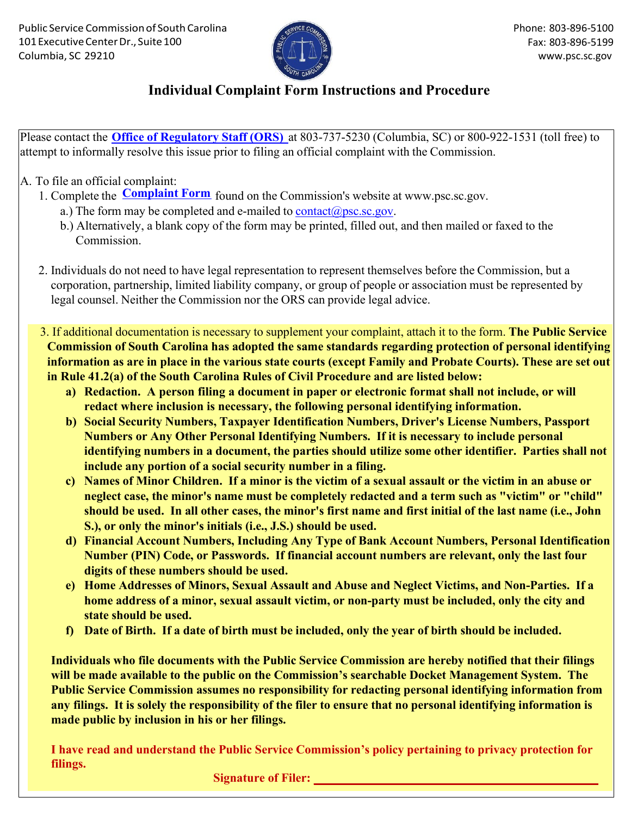

## **Individual Complaint Form Instructions and Procedure**

Please contact the **Office of Regulatory Staff (ORS)** at 803-737-5230 (Columbia, SC) or 800-922-1531 (toll free) to attempt to informally resolve this issue prior to filing an official complaint with the Commission.

## A. To file an official complaint:

- 1. Complete the **Complaint Form** found on the Commission's website at [www.psc.sc.gov.](http://www.psc.sc.gov/)
	- a.) The form may be completed and e-mailed to  $contact(\partial psc.sc.gov$ .
	- b.) Alternatively, a blank copy of the form may be printed, filled out, and then mailed or faxed to the Commission.
- 2. Individuals do not need to have legal representation to represent themselves before the Commission, but a corporation, partnership, limited liability company, or group of people or association must be represented by legal counsel. Neither the Commission nor the ORS can provide legal advice.
- 3. If additional documentation is necessary to supplement your complaint, attach it to the form. The Public Service Commission of South Carolina has adopted the same standards regarding protection of personal identifying information as are in place in the various state courts (except Family and Probate Courts). These are set out in Rule 41.2(a) of the South Carolina Rules of Civil Procedure and are listed below:
	- **a) Redaction. A person filing a document in paper or electronic format shall not include, or will redact where inclusion is necessary, the following personal identifying information.**
	- **b) Social Security Numbers, Taxpayer Identification Numbers, Driver's License Numbers, Passport Numbers or Any Other Personal Identifying Numbers. If it is necessary to include personal identifying numbers in a document, the parties should utilize some other identifier. Parties shall not include any portion of a social security number in a filing.**
	- **c) Names of Minor Children. If a minor is the victim of a sexual assault or the victim in an abuse or neglect case, the minor's name must be completely redacted and a term such as "victim" or "child" should be used. In all other cases, the minor's first name and first initial of the last name (i.e., John S.), or only the minor's initials (i.e., J.S.) should be used.**
	- **d) Financial Account Numbers, Including Any Type of Bank Account Numbers, Personal Identification Number (PIN) Code, or Passwords. If financial account numbers are relevant, only the last four digits of these numbers should be used.**
	- **e) Home Addresses of Minors, Sexual Assault and Abuse and Neglect Victims, and Non-Parties. If a home address of a minor, sexual assault victim, or non-party must be included, only the city and state should be used.**
	- **f) Date of Birth. If a date of birth must be included, only the year of birth should be included.**

**Individuals who file documents with the Public Service Commission are hereby notified that their filings will be made available to the public on the Commission's searchable Docket Management System. The Public Service Commission assumes no responsibility for redacting personal identifying information from any filings. It is solely the responsibility of the filer to ensure that no personal identifying information is made public by inclusion in his or her filings.**

**I have read and understand the Public Service Commission's policy pertaining to privacy protection for filings.**

**Signature of Filer: \_\_\_\_\_\_\_\_\_\_\_\_\_\_\_\_\_\_\_\_\_\_\_\_\_\_\_\_\_\_\_\_\_\_\_\_\_\_\_\_\_\_\_\_\_\_**